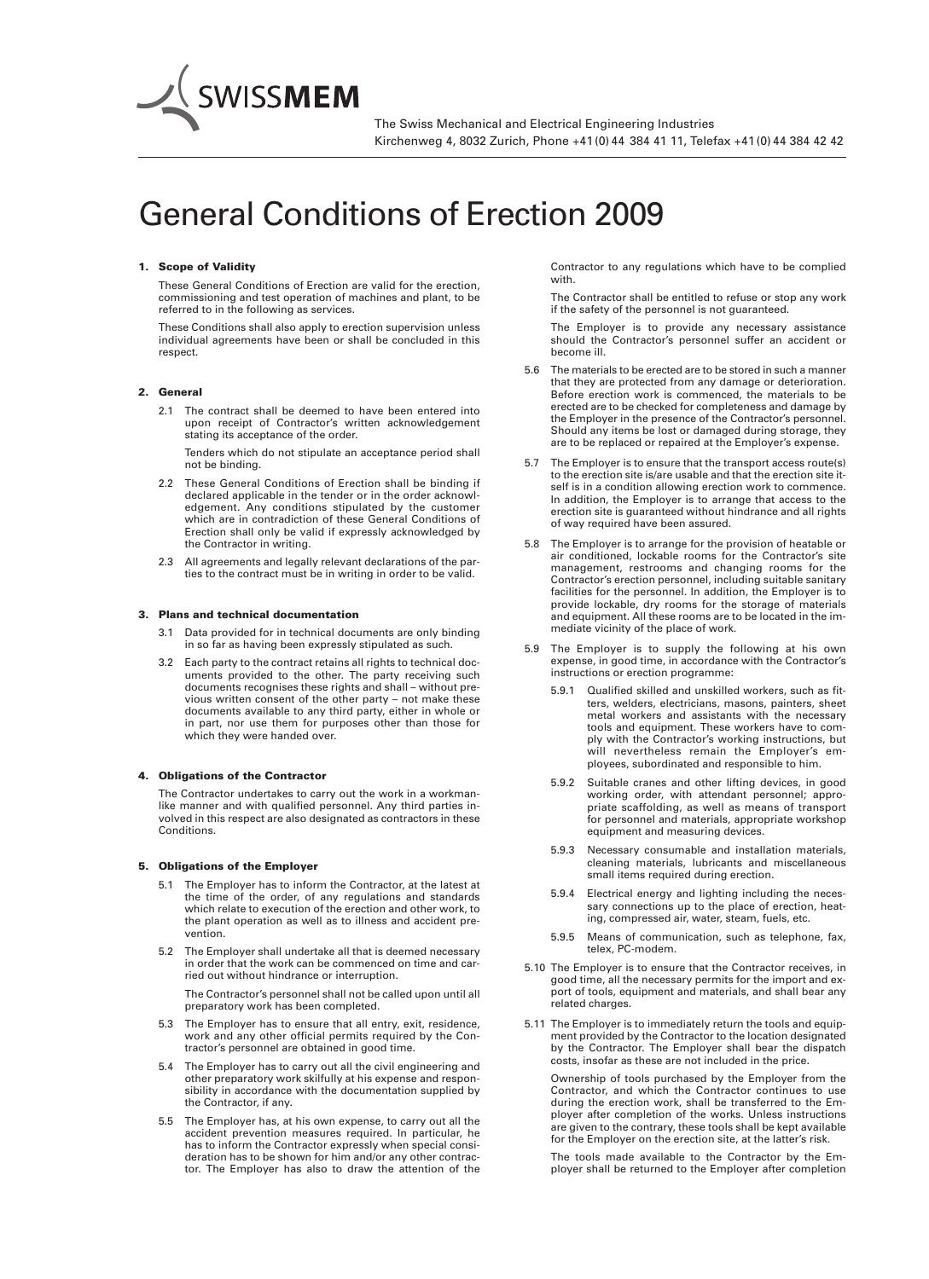# *General Conditions of Erection 2009*

### 1. Scope of Validity

*These General Conditions of Erection are valid for the erection, commissioning and test operation of machines and plant, to be referred to in the following as services.*

*These Conditions shall also apply to erection supervision unless individual agreements have been or shall be concluded in this respect.*

### 2. General

*2.1 The contract shall be deemed to have been entered into upon receipt of Contractor's written acknowledgement stating its acceptance of the order.*

*Tenders which do not stipulate an acceptance period shall not be binding.*

- *2.2 These General Conditions of Erection shall be binding if declared applicable in the tender or in the order acknowledgement. Any conditions stipulated by the customer which are in contradiction of these General Conditions of Erection shall only be valid if expressly acknowledged by the Contractor in writing.*
- *2.3 All agreements and legally relevant declarations of the parties to the contract must be in writing in order to be valid.*

### 3. Plans and technical documentation

- *3.1 Data provided for in technical documents are only binding in so far as having been expressly stipulated as such.*
- *3.2 Each party to the contract retains all rights to technical documents provided to the other. The party receiving such documents recognises these rights and shall – without previous written consent of the other party – not make these documents available to any third party, either in whole or in part, nor use them for purposes other than those for which they were handed over.*

### 4. Obligations of the Contractor

*The Contractor undertakes to carry out the work in a workmanlike manner and with qualified personnel. Any third parties involved in this respect are also designated as contractors in these Conditions.*

### 5. Obligations of the Employer

- *5.1 The Employer has to inform the Contractor, at the latest at the time of the order, of any regulations and standards which relate to execution of the erection and other work, to the plant operation as well as to illness and accident prevention.*
- *5.2 The Employer shall undertake all that is deemed necessary in order that the work can be commenced on time and carried out without hindrance or interruption.*

*The Contractor's personnel shall not be called upon until all preparatory work has been completed.*

- *5.3 The Employer has to ensure that all entry, exit, residence, work and any other official permits required by the Contractor's personnel are obtained in good time.*
- *5.4 The Employer has to carry out all the civil engineering and other preparatory work skilfully at his expense and responsibility in accordance with the documentation supplied by the Contractor, if any.*
- *5.5 The Employer has, at his own expense, to carry out all the accident prevention measures required. In particular, he has to inform the Contractor expressly when special consi deration has to be shown for him and/or any other contractor. The Employer has also to draw the attention of the*

*Contractor to any regulations which have to be complied with.*

*The Contractor shall be entitled to refuse or stop any work if the safety of the personnel is not guaranteed.*

*The Employer is to provide any necessary assistance should the Contractor's personnel suffer an accident or become ill.*

- *5.6 The materials to be erected are to be stored in such a manner that they are protected from any damage or deterioration. Before erection work is commenced, the materials to be erected are to be checked for completeness and damage by the Employer in the presence of the Contractor's personnel. Should any items be lost or damaged during storage, they are to be replaced or repaired at the Employer's expense.*
- 5.7 The Employer is to ensure that the transport access route(s) *to the erection site is/are usable and that the erection site itself is in a condition allowing erection work to commence. In addition, the Employer is to arrange that access to the erection site is guaranteed without hindrance and all rights of way required have been assured.*
- *5.8 The Employer is to arrange for the provision of heatable or air conditioned, lockable rooms for the Contractor's site management, restrooms and changing rooms for the Contractor's erection personnel, including suitable sanitary facilities for the personnel. In addition, the Employer is to provide lockable, dry rooms for the storage of materials and equipment. All these rooms are to be located in the immediate vicinity of the place of work.*
- *5.9 The Employer is to supply the following at his own expense, in good time, in accordance with the Contractor's instructions or erection programme:*
	- *5.9.1 Qualified skilled and unskilled workers, such as fitters, welders, electricians, masons, painters, sheet metal workers and assistants with the necessary tools and equipment. These workers have to comply with the Contractor's working instructions, but will nevertheless remain the Employer's em ployees, subordinated and responsible to him.*
	- *5.9.2 Suitable cranes and other lifting devices, in good* working order, with attendant personnel; appro*priate scaffolding, as well as means of transport for personnel and materials, appropriate workshop equipment and measuring devices.*
	- *5.9.3 Necessary consumable and installation materials, cleaning materials, lubricants and miscellaneous small items required during erection.*
	- *5.9.4 Electrical energy and lighting including the necessary connections up to the place of erection, heating, compressed air, water, steam, fuels, etc.*
	- *5.9.5 Means of communication, such as telephone, fax, telex, PC-modem.*
- *5.10 The Employer is to ensure that the Contractor receives, in good time, all the necessary permits for the import and export of tools, equipment and materials, and shall bear any related charges.*
- *5.11 The Employer is to immediately return the tools and equipment provided by the Contractor to the location designated by the Contractor. The Employer shall bear the dispatch costs, insofar as these are not included in the price.*

*Ownership of tools purchased by the Employer from the Contractor, and which the Contractor continues to use during the erection work, shall be transferred to the Employer after completion of the works. Unless instructions are given to the contrary, these tools shall be kept available for the Employer on the erection site, at the latter's risk.*

*The tools made available to the Contractor by the Employer shall be returned to the Employer after completion*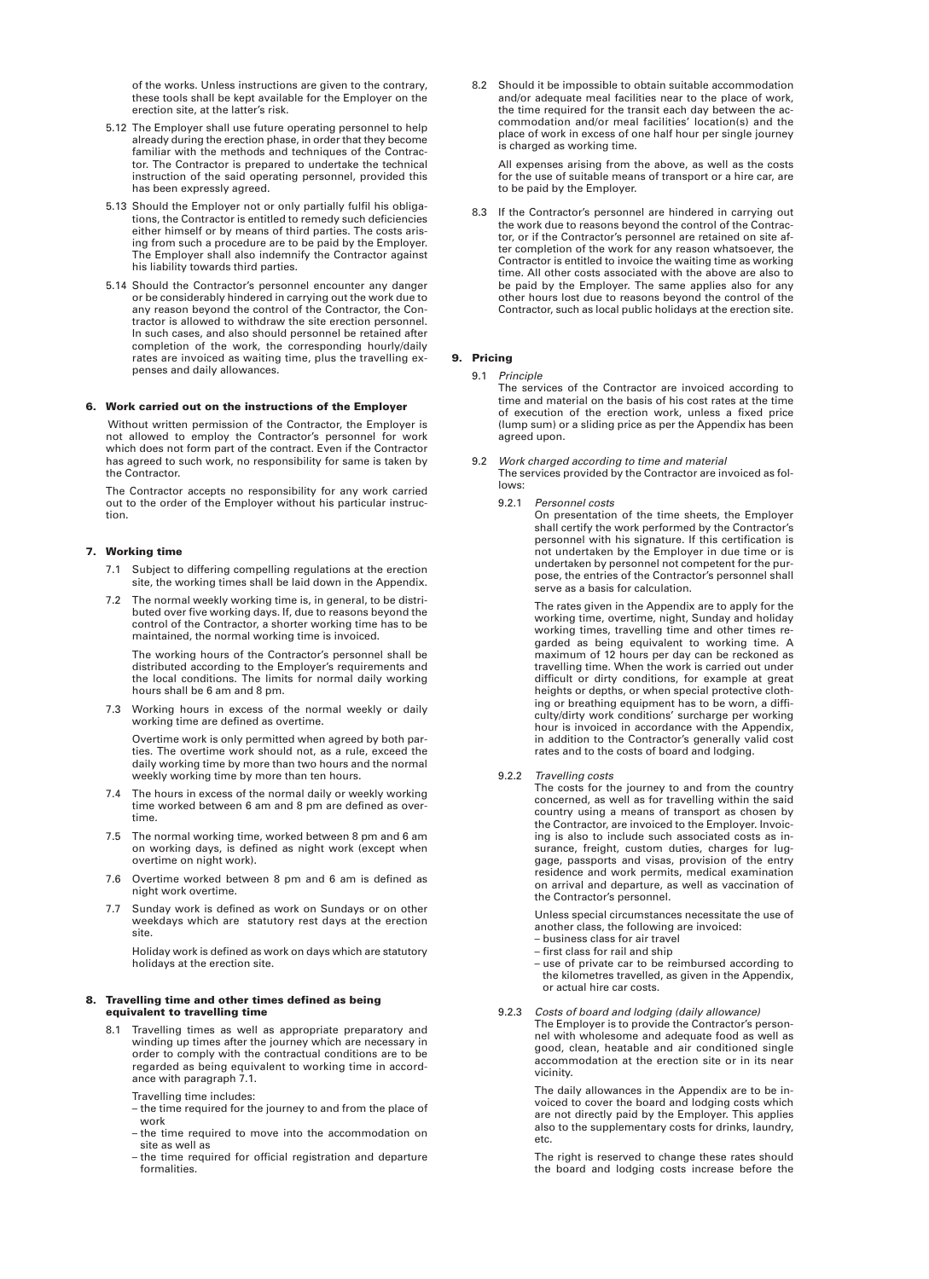*of the works. Unless instructions are given to the contrary, these tools shall be kept available for the Employer on the erection site, at the latter's risk.*

- *5.12 The Employer shall use future operating personnel to help already during the erection phase, in order that they become familiar with the methods and techniques of the Contractor. The Contractor is prepared to undertake the technical instruction of the said operating personnel, provided this has been expressly agreed.*
- *5.13 Should the Employer not or only partially fulfil his obligations, the Contractor is entitled to remedy such deficiencies either himself or by means of third parties. The costs arising from such a procedure are to be paid by the Employer. The Employer shall also indemnify the Contractor against his liability towards third parties.*
- *5.14 Should the Contractor's personnel encounter any danger or be considerably hindered in carrying out the work due to any reason beyond the control of the Contractor, the Contractor is allowed to withdraw the site erection personnel. In such cases, and also should personnel be retained after completion of the work, the corresponding hourly/daily rates are invoiced as waiting time, plus the travelling expenses and daily allowances.*

### 6. Work carried out on the instructions of the Employer

*Without written permission of the Contractor, the Employer is not allowed to employ the Contractor's personnel for work which does not form part of the contract. Even if the Contractor has agreed to such work, no responsibility for same is taken by the Contractor.*

*The Contractor accepts no responsibility for any work carried out to the order of the Employer without his particular instruction.*

### 7. Working time

- *7.1 Subject to differing compelling regulations at the erection site, the working times shall be laid down in the Appendix.*
- *7.2 The normal weekly working time is, in general, to be distri buted over five working days. If, due to reasons beyond the control of the Contractor, a shorter working time has to be maintained, the normal working time is invoiced.*

*The working hours of the Contractor's personnel shall be distributed according to the Employer's requirements and the local conditions. The limits for normal daily working hours shall be 6 am and 8 pm.*

*7.3 Working hours in excess of the normal weekly or daily working time are defined as overtime.*

*Overtime work is only permitted when agreed by both parties. The overtime work should not, as a rule, exceed the daily working time by more than two hours and the normal weekly working time by more than ten hours.*

- *7.4 The hours in excess of the normal daily or weekly working time worked between 6 am and 8 pm are defined as overtime.*
- *7.5 The normal working time, worked between 8 pm and 6 am on working days, is defined as night work (except when overtime on night work).*
- *7.6 Overtime worked between 8 pm and 6 am is defined as night work overtime.*
- *7.7 Sunday work is defined as work on Sundays or on other weekdays which are statutory rest days at the erection site.*

*Holiday work is defined as work on days which are statutory holidays at the erection site.*

### 8. Travelling time and other times defined as being equivalent to travelling time

*8.1 Travelling times as well as appropriate preparatory and winding up times after the journey which are necessary in order to comply with the contractual conditions are to be regarded as being equivalent to working time in accord ance with paragraph 7.1.*

*Travelling time includes:*

- *the time required for the journey to and from the place of work*
- *the time required to move into the accommodation on site as well as*
- *the time required for official registration and departure formalities.*

*8.2 Should it be impossible to obtain suitable accommodation and/or adequate meal facilities near to the place of work, the time required for the transit each day between the accommodation and/or meal facilities' location(s) and the place of work in excess of one half hour per single journey is charged as working time.*

*All expenses arising from the above, as well as the costs for the use of suitable means of transport or a hire car, are to be paid by the Employer.*

*8.3 If the Contractor's personnel are hindered in carrying out the work due to reasons beyond the control of the Contractor, or if the Contractor's personnel are retained on site after completion of the work for any reason whatsoever, the Contractor is entitled to invoice the waiting time as working time. All other costs associated with the above are also to be paid by the Employer. The same applies also for any other hours lost due to reasons beyond the control of the Contractor, such as local public holidays at the erection site.*

# 9. Pricing

*9.1 Principle*

*The services of the Contractor are invoiced according to time and material on the basis of his cost rates at the time of execution of the erection work, unless a fixed price (lump sum) or a sliding price as per the Appendix has been agreed upon.*

- *9.2 Work charged according to time and material The services provided by the Contractor are invoiced as follows:*
	- *9.2.1 Personnel costs*

*On presentation of the time sheets, the Employer shall certify the work performed by the Contractor's personnel with his signature. If this certification is not undertaken by the Employer in due time or is undertaken by personnel not competent for the purpose, the entries of the Contractor's personnel shall serve as a basis for calculation.*

*The rates given in the Appendix are to apply for the working time, overtime, night, Sunday and holiday working times, travelling time and other times regarded as being equivalent to working time. A maximum of 12 hours per day can be reckoned as travelling time. When the work is carried out under difficult or dirty conditions, for example at great heights or depths, or when special protective clothing or breathing equipment has to be worn, a difficulty/dirty work conditions' surcharge per working hour is invoiced in accordance with the Appendix, in addition to the Contractor's generally valid cost rates and to the costs of board and lodging.*

### *9.2.2 Travelling costs*

*The costs for the journey to and from the country concerned, as well as for travelling within the said country using a means of transport as chosen by the Contractor, are invoiced to the Employer. Invoicing is also to include such associated costs as in surance, freight, custom duties, charges for luggage, passports and visas, provision of the entry residence and work permits, medical examination on arrival and departure, as well as vaccination of the Contractor's personnel.*

*Unless special circumstances necessitate the use of another class, the following are invoiced:*

- *business class for air travel*
- *first class for rail and ship*

*– use of private car to be reimbursed according to the kilometres travelled, as given in the Appendix, or actual hire car costs.*

*9.2.3 Costs of board and lodging (daily allowance)*

*The Employer is to provide the Contractor's personnel with wholesome and adequate food as well as good, clean, heatable and air conditioned single accommodation at the erection site or in its near vicinity.*

*The daily allowances in the Appendix are to be invoiced to cover the board and lodging costs which are not directly paid by the Employer. This applies also to the supplementary costs for drinks, laundry, etc.*

*The right is reserved to change these rates should the board and lodging costs increase before the*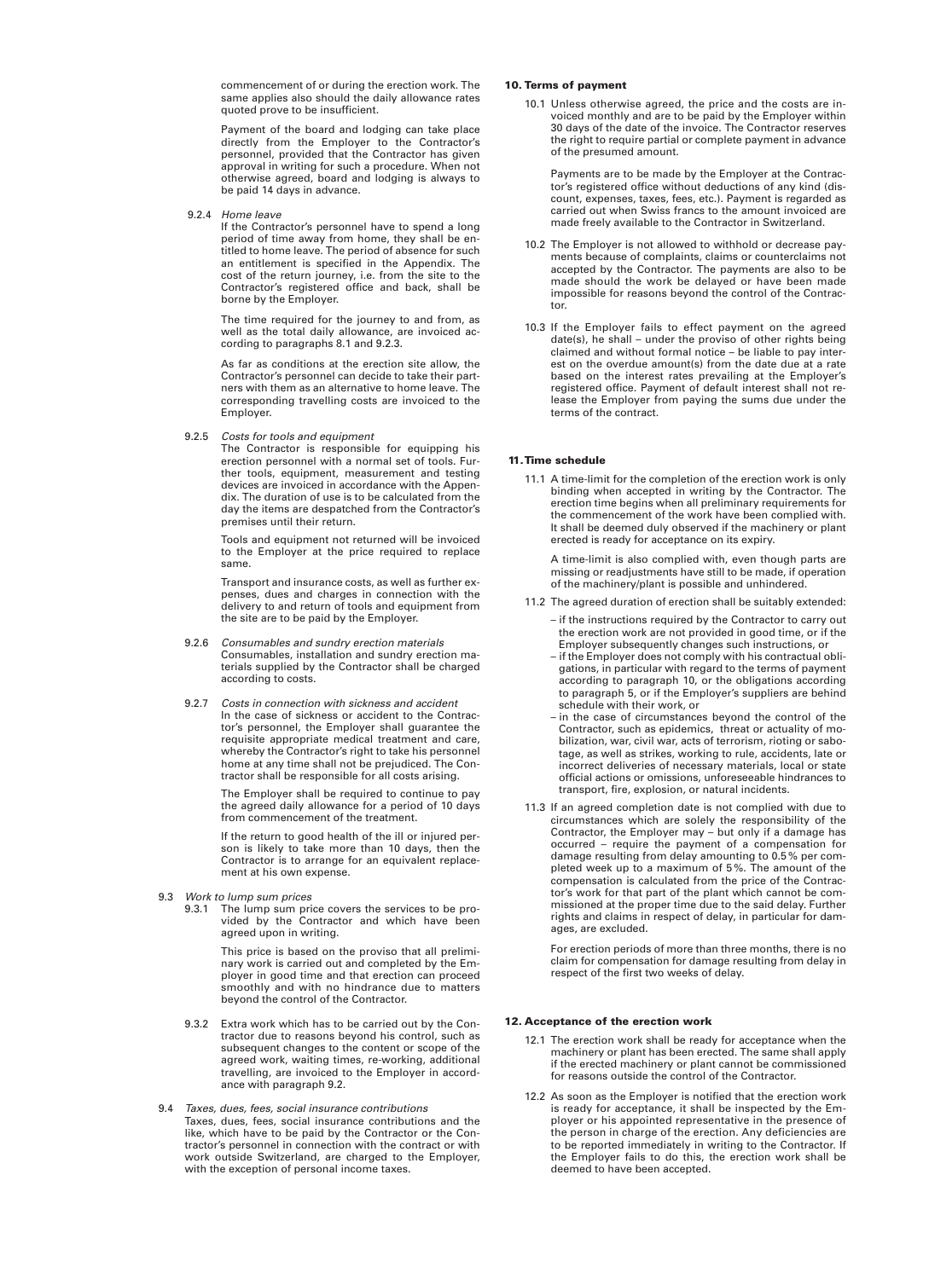*commencement of or during the erection work. The same applies also should the daily allowance rates quoted prove to be insufficient.*

*Payment of the board and lodging can take place directly from the Employer to the Contractor's personnel, provided that the Contractor has given approval in writing for such a procedure. When not otherwise agreed, board and lodging is always to be paid 14 days in advance.*

*9.2.4 Home leave*

*If the Contractor's personnel have to spend a long period of time away from home, they shall be en titled to home leave. The period of absence for such an entitlement is specified in the Appendix. The cost of the return journey, i.e. from the site to the Contractor's registered office and back, shall be borne by the Employer.*

*The time required for the journey to and from, as well as the total daily allowance, are invoiced according to paragraphs 8.1 and 9.2.3.*

*As far as conditions at the erection site allow, the Contractor's personnel can decide to take their partners with them as an alternative to home leave. The corresponding travelling costs are invoiced to the Employer.*

*9.2.5 Costs for tools and equipment*

*The Contractor is responsible for equipping his erection personnel with a normal set of tools. Further tools, equipment, measurement and testing devices are invoiced in accordance with the Appendix. The duration of use is to be calculated from the day the items are despatched from the Contractor's premises until their return.*

*Tools and equipment not returned will be invoiced to the Employer at the price required to replace same.*

*Transport and insurance costs, as well as further expenses, dues and charges in connection with the delivery to and return of tools and equipment from the site are to be paid by the Employer.*

- *9.2.6 Consumables and sundry erection materials Consumables, installation and sundry erection materials supplied by the Contractor shall be charged according to costs.*
- *9.2.7 Costs in connection with sickness and accident In the case of sickness or accident to the Contractor's personnel, the Employer shall guarantee the requisite appropriate medical treatment and care, whereby the Contractor's right to take his personnel home at any time shall not be prejudiced. The Contractor shall be responsible for all costs arising.*

*The Employer shall be required to continue to pay the agreed daily allowance for a period of 10 days from commencement of the treatment.*

*If the return to good health of the ill or injured person is likely to take more than 10 days, then the Contractor is to arrange for an equivalent replacement at his own expense.*

- *9.3 Work to lump sum prices*
	- *9.3.1 The lump sum price covers the services to be provided by the Contractor and which have been agreed upon in writing.*

*This price is based on the proviso that all preliminary work is carried out and completed by the Employer in good time and that erection can proceed smoothly and with no hindrance due to matters beyond the control of the Contractor.*

- *9.3.2 Extra work which has to be carried out by the Contractor due to reasons beyond his control, such as subsequent changes to the content or scope of the agreed work, waiting times, re-working, additional travelling, are invoiced to the Employer in accord ance with paragraph 9.2.*
- *9.4 Taxes, dues, fees, social insurance contributions Taxes, dues, fees, social insurance contributions and the like, which have to be paid by the Contractor or the Contractor's personnel in connection with the contract or with work outside Switzerland, are charged to the Employer, with the exception of personal income taxes.*

### 10. Terms of payment

*10.1 Unless otherwise agreed, the price and the costs are invoiced monthly and are to be paid by the Employer within 30 days of the date of the invoice. The Contractor reserves the right to require partial or complete payment in advance of the presumed amount.*

*Payments are to be made by the Employer at the Contractor's registered office without deductions of any kind (discount, expenses, taxes, fees, etc.). Payment is regarded as carried out when Swiss francs to the amount invoiced are made freely available to the Contractor in Switzerland.*

- *10.2 The Employer is not allowed to withhold or decrease payments because of complaints, claims or counterclaims not accepted by the Contractor. The payments are also to be made should the work be delayed or have been made impossible for reasons beyond the control of the Contractor.*
- *10.3 If the Employer fails to effect payment on the agreed date(s), he shall – under the proviso of other rights being claimed and without formal notice – be liable to pay interest on the overdue amount(s) from the date due at a rate based on the interest rates prevailing at the Employer's registered office. Payment of default interest shall not release the Employer from paying the sums due under the terms of the contract.*

### 11.Time schedule

*11.1 A time-limit for the completion of the erection work is only binding when accepted in writing by the Contractor. The erection time begins when all preliminary requirements for the commencement of the work have been complied with. It shall be deemed duly observed if the machinery or plant erected is ready for acceptance on its expiry.*

*A time-limit is also complied with, even though parts are missing or readjustments have still to be made, if operation of the machinery/plant is possible and unhindered.*

- *11.2 The agreed duration of erection shall be suitably extended:*
	- *if the instructions required by the Contractor to carry out the erection work are not provided in good time, or if the Employer subsequently changes such instructions, or*
	- *if the Employer does not comply with his contractual obligations, in particular with regard to the terms of payment according to paragraph 10, or the obligations according to paragraph 5, or if the Employer's suppliers are behind schedule with their work, or*
	- *in the case of circumstances beyond the control of the Contractor, such as epidemics, threat or actuality of mobilization, war, civil war, acts of terrorism, rioting or sabotage, as well as strikes, working to rule, accidents, late or incorrect deliveries of necessary materials, local or state official actions or omissions, unforeseeable hindrances to transport, fire, explosion, or natural incidents.*
- *11.3 If an agreed completion date is not complied with due to circumstances which are solely the responsibility of the Contractor, the Employer may – but only if a damage has occurred – require the payment of a compensation for damage resulting from delay amounting to 0.5 % per completed week up to a maximum of 5 %. The amount of the compensation is calculated from the price of the Contractor's work for that part of the plant which cannot be commissioned at the proper time due to the said delay. Further rights and claims in respect of delay, in particular for damages, are excluded.*

*For erection periods of more than three months, there is no claim for compensation for damage resulting from delay in respect of the first two weeks of delay.*

### 12. Acceptance of the erection work

- *12.1 The erection work shall be ready for acceptance when the machinery or plant has been erected. The same shall apply if the erected machinery or plant cannot be commissioned for reasons outside the control of the Contractor.*
- *12.2 As soon as the Employer is notified that the erection work is ready for acceptance, it shall be inspected by the Employer or his appointed representative in the presence of the person in charge of the erection. Any deficiencies are to be reported immediately in writing to the Contractor. If the Employer fails to do this, the erection work shall be deemed to have been accepted.*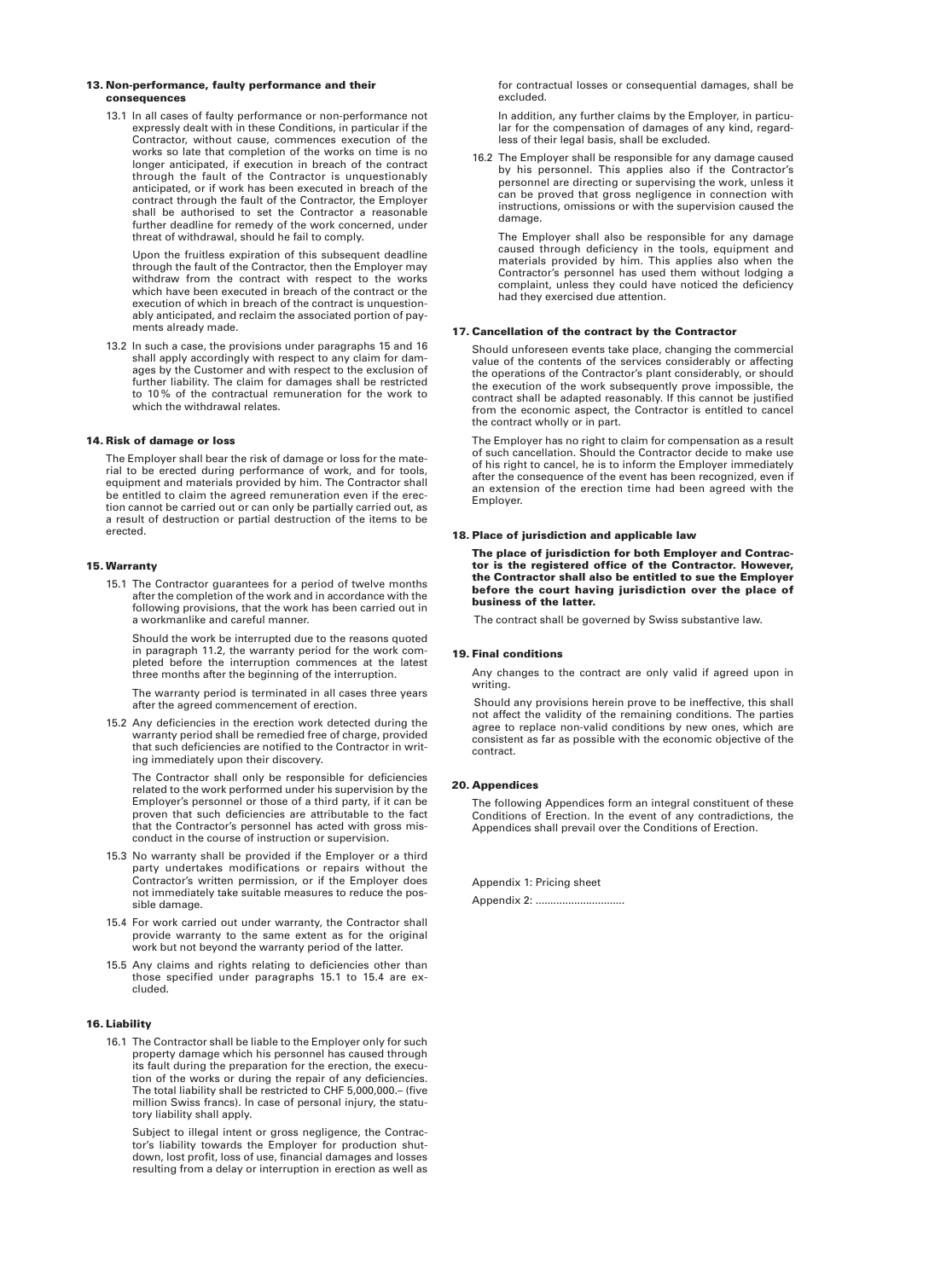### 13. Non-performance, faulty performance and their consequences

*13.1 In all cases of faulty performance or non-performance not expressly dealt with in these Conditions, in particular if the Contractor, without cause, commences execution of the works so late that completion of the works on time is no longer anticipated, if execution in breach of the contract through the fault of the Contractor is unquestionably anticipated, or if work has been executed in breach of the contract through the fault of the Contractor, the Employer shall be authorised to set the Contractor a reasonable further deadline for remedy of the work concerned, under threat of withdrawal, should he fail to comply.*

*Upon the fruitless expiration of this subsequent deadline through the fault of the Contractor, then the Employer may withdraw from the contract with respect to the works which have been executed in breach of the contract or the execution of which in breach of the contract is unquestionably anticipated, and reclaim the associated portion of payments already made.*

*13.2 In such a case, the provisions under paragraphs 15 and 16 shall apply accordingly with respect to any claim for damages by the Customer and with respect to the exclusion of further liability. The claim for damages shall be restricted to 10 % of the contractual remuneration for the work to which the withdrawal relates.*

## 14. Risk of damage or loss

*The Employer shall bear the risk of damage or loss for the material to be erected during performance of work, and for tools, equipment and materials provided by him. The Contractor shall be entitled to claim the agreed remuneration even if the erection cannot be carried out or can only be partially carried out, as a result of destruction or partial destruction of the items to be erected.*

### 15. Warranty

*15.1 The Contractor guarantees for a period of twelve months after the completion of the work and in accordance with the following provisions, that the work has been carried out in a workmanlike and careful manner.*

*Should the work be interrupted due to the reasons quoted in paragraph 11.2, the warranty period for the work completed before the interruption commences at the latest three months after the beginning of the interruption.*

*The warranty period is terminated in all cases three years after the agreed commencement of erection.*

*15.2 Any deficiencies in the erection work detected during the warranty period shall be remedied free of charge, provided that such deficiencies are notified to the Contractor in writing immediately upon their discovery.*

*The Contractor shall only be responsible for deficiencies related to the work performed under his supervision by the Employer's personnel or those of a third party, if it can be proven that such deficiencies are attributable to the fact that the Contractor's personnel has acted with gross misconduct in the course of instruction or supervision.*

- *15.3 No warranty shall be provided if the Employer or a third party undertakes modifications or repairs without the Contractor's written permission, or if the Employer does not immediately take suitable measures to reduce the possible damage.*
- *15.4 For work carried out under warranty, the Contractor shall provide warranty to the same extent as for the original work but not beyond the warranty period of the latter.*
- *15.5 Any claims and rights relating to deficiencies other than those specified under paragraphs 15.1 to 15.4 are excluded.*

# 16. Liability

*16.1 The Contractor shall be liable to the Employer only for such property damage which his personnel has caused through its fault during the preparation for the erection, the execution of the works or during the repair of any deficiencies. The total liability shall be restricted to CHF 5,000,000.– (five million Swiss francs). In case of personal injury, the statutory liability shall apply.*

*Subject to illegal intent or gross negligence, the Contractor's liability towards the Employer for production shutdown, lost profit, loss of use, financial damages and losses resulting from a delay or interruption in erection as well as* *for contractual losses or consequential damages, shall be excluded.*

*In addition, any further claims by the Employer, in particular for the compensation of damages of any kind, regardless of their legal basis, shall be excluded.*

*16.2 The Employer shall be responsible for any damage caused by his personnel. This applies also if the Contractor's personnel are directing or supervising the work, unless it can be proved that gross negligence in connection with instructions, omissions or with the supervision caused the damage.*

*The Employer shall also be responsible for any damage caused through deficiency in the tools, equipment and materials provided by him. This applies also when the Contractor's personnel has used them without lodging a complaint, unless they could have noticed the deficiency had they exercised due attention.*

### 17. Cancellation of the contract by the Contractor

*Should unforeseen events take place, changing the commercial value of the contents of the services considerably or affecting the operations of the Contractor's plant considerably, or should the execution of the work subsequently prove impossible, the contract shall be adapted reasonably. If this cannot be justified from the economic aspect, the Contractor is entitled to cancel the contract wholly or in part.*

*The Employer has no right to claim for compensation as a result of such cancellation. Should the Contractor decide to make use of his right to cancel, he is to inform the Employer immediately after the consequence of the event has been recognized, even if an extension of the erection time had been agreed with the Employer.*

# 18. Place of jurisdiction and applicable law

The place of jurisdiction for both Employer and Contractor is the registered office of the Contractor. However, the Contractor shall also be entitled to sue the Employer before the court having jurisdiction over the place of business of the latter.

*The contract shall be governed by Swiss substantive law.*

### 19. Final conditions

*Any changes to the contract are only valid if agreed upon in writing.*

*Should any provisions herein prove to be ineffective, this shall not affect the validity of the remaining conditions. The parties agree to replace non-valid conditions by new ones, which are consistent as far as possible with the economic objective of the contract.*

### 20. Appendices

*The following Appendices form an integral constituent of these Conditions of Erection. In the event of any contradictions, the Appendices shall prevail over the Conditions of Erection.*

*Appendix 1: Pricing sheet Appendix 2: ..............................*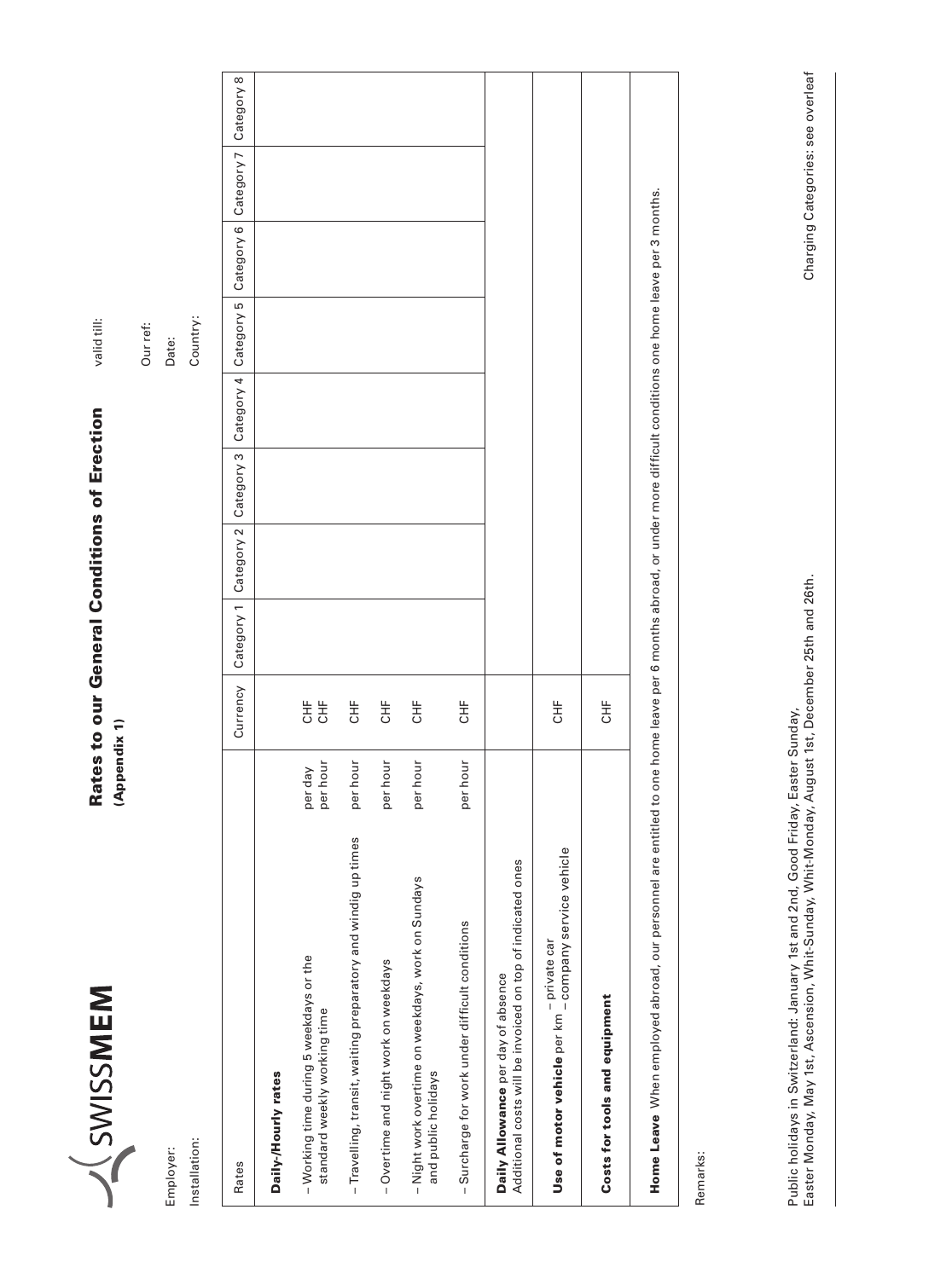| L<br>┚                       |
|------------------------------|
|                              |
|                              |
| $\overline{\mathsf{C}}$<br>ו |
| Č<br>١                       |
|                              |
|                              |
| ١                            |
|                              |
|                              |
|                              |
|                              |
|                              |

Employer: Installation:

Installation: Employer:

# Rates to our General Conditions of Erection Rates to our General Conditions of Erection

valid till:

valid till:

(Appendix 1) (Appendix 1) Our ref:

Date:

| f |
|---|

| Rates                                                                                            | Currency                                                                                   | Category 1 | Category 2                                                                           | Category 3 | Category 4 | Category 5 | Category 6 | Category 7 | Category 8 |
|--------------------------------------------------------------------------------------------------|--------------------------------------------------------------------------------------------|------------|--------------------------------------------------------------------------------------|------------|------------|------------|------------|------------|------------|
| Daily-/Hourly rates                                                                              |                                                                                            |            |                                                                                      |            |            |            |            |            |            |
| per hour<br>per day<br>- Working time during 5 weekdays or the<br>standard weekly working time   | しゃしゃ しょうしゃ しょうしゃ しょうしゃ しょうしゃ<br>しゃしゃ しょうしゃ しょうしゃ しょうしゃ しんりょう しんりょう しんしゃく しんりょう しんしゃく しんりょう |            |                                                                                      |            |            |            |            |            |            |
| per hour<br>- Travelling, transit, waiting preparatory and windig up times                       | HF                                                                                         |            |                                                                                      |            |            |            |            |            |            |
| per hour<br>- Overtime and night work on weekdays                                                | ĮН                                                                                         |            |                                                                                      |            |            |            |            |            |            |
| per hour<br>- Night work overtime on weekdays, work on Sundays<br>and public holidays            | HF                                                                                         |            |                                                                                      |            |            |            |            |            |            |
| per hour<br>- Surcharge for work under difficult conditions                                      | HF                                                                                         |            |                                                                                      |            |            |            |            |            |            |
| Additional costs will be invoiced on top of indicated ones<br>Daily Allowance per day of absence |                                                                                            |            |                                                                                      |            |            |            |            |            |            |
| Use of motor vehicle per km - company service vehicle<br>- private car                           | しゃしゃ しょうしゃ しょうしゃ                                                                           |            |                                                                                      |            |            |            |            |            |            |
| Costs for tools and equipment                                                                    | しゃしゃ しょうしゃ しょうしゃ                                                                           |            |                                                                                      |            |            |            |            |            |            |
| Home Leave When employed abroad, our personnel are entitled to one home leave                    |                                                                                            |            | per 6 months abroad, or under more difficult conditions one home leave per 3 months. |            |            |            |            |            |            |

Remarks: Remarks:

Easter Monday, May 1st, Ascension, Whit-Sunday, Whit-Monday, August 1st, December 25th and 26th. Charging Categories: see overleaf Public holidays in Switzerland: January 1st and 2nd, Good Friday, Easter Sunday,<br>Easter Monday, May 1st, Ascension, Whit-Sunday, Whit-Monday, August 1st, December 25th and 26th. Public holidays in Switzerland: January 1st and 2nd, Good Friday, Easter Sunday,

Charging Categories: see overleaf